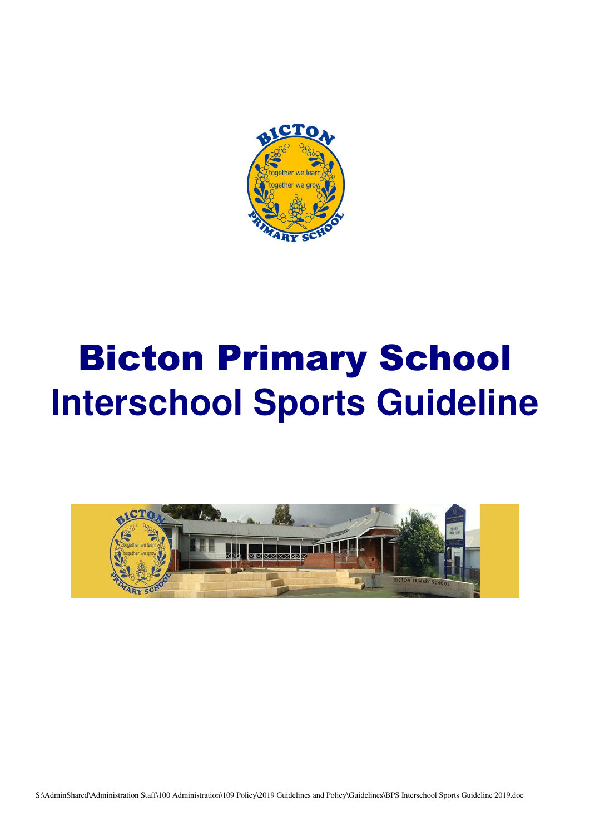

# Bicton Primary School **Interschool Sports Guideline**

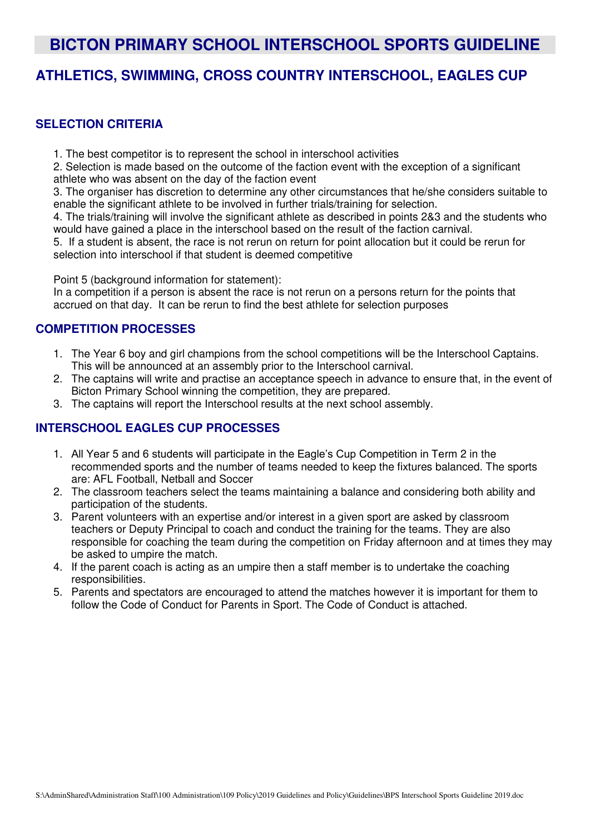## **BICTON PRIMARY SCHOOL INTERSCHOOL SPORTS GUIDELINE**

### **ATHLETICS, SWIMMING, CROSS COUNTRY INTERSCHOOL, EAGLES CUP**

#### **SELECTION CRITERIA**

1. The best competitor is to represent the school in interschool activities

2. Selection is made based on the outcome of the faction event with the exception of a significant athlete who was absent on the day of the faction event

3. The organiser has discretion to determine any other circumstances that he/she considers suitable to enable the significant athlete to be involved in further trials/training for selection.

4. The trials/training will involve the significant athlete as described in points 2&3 and the students who would have gained a place in the interschool based on the result of the faction carnival.

5. If a student is absent, the race is not rerun on return for point allocation but it could be rerun for selection into interschool if that student is deemed competitive

Point 5 (background information for statement):

In a competition if a person is absent the race is not rerun on a persons return for the points that accrued on that day. It can be rerun to find the best athlete for selection purposes

#### **COMPETITION PROCESSES**

- 1. The Year 6 boy and girl champions from the school competitions will be the Interschool Captains. This will be announced at an assembly prior to the Interschool carnival.
- 2. The captains will write and practise an acceptance speech in advance to ensure that, in the event of Bicton Primary School winning the competition, they are prepared.
- 3. The captains will report the Interschool results at the next school assembly.

#### **INTERSCHOOL EAGLES CUP PROCESSES**

- 1. All Year 5 and 6 students will participate in the Eagle's Cup Competition in Term 2 in the recommended sports and the number of teams needed to keep the fixtures balanced. The sports are: AFL Football, Netball and Soccer
- 2. The classroom teachers select the teams maintaining a balance and considering both ability and participation of the students.
- 3. Parent volunteers with an expertise and/or interest in a given sport are asked by classroom teachers or Deputy Principal to coach and conduct the training for the teams. They are also responsible for coaching the team during the competition on Friday afternoon and at times they may be asked to umpire the match.
- 4. If the parent coach is acting as an umpire then a staff member is to undertake the coaching responsibilities.
- 5. Parents and spectators are encouraged to attend the matches however it is important for them to follow the Code of Conduct for Parents in Sport. The Code of Conduct is attached.